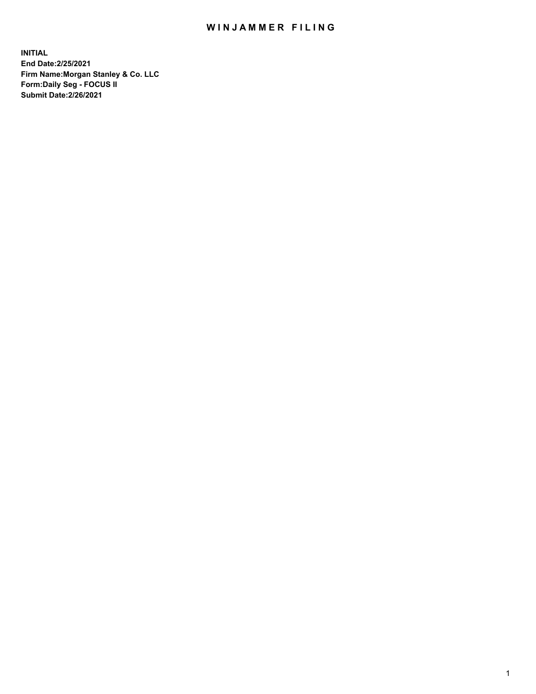## WIN JAMMER FILING

**INITIAL End Date:2/25/2021 Firm Name:Morgan Stanley & Co. LLC Form:Daily Seg - FOCUS II Submit Date:2/26/2021**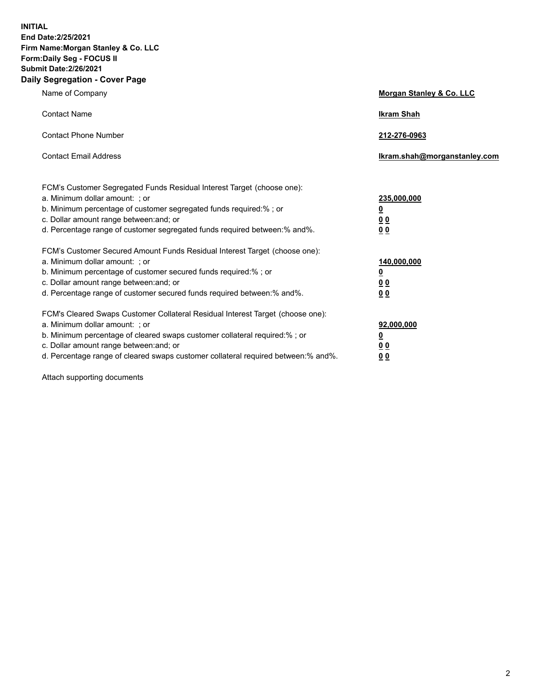**INITIAL End Date:2/25/2021 Firm Name:Morgan Stanley & Co. LLC Form:Daily Seg - FOCUS II Submit Date:2/26/2021 Daily Segregation - Cover Page**

| Name of Company                                                                                                                                                                                                                                                                                                                | <b>Morgan Stanley &amp; Co. LLC</b>                    |
|--------------------------------------------------------------------------------------------------------------------------------------------------------------------------------------------------------------------------------------------------------------------------------------------------------------------------------|--------------------------------------------------------|
| <b>Contact Name</b>                                                                                                                                                                                                                                                                                                            | <b>Ikram Shah</b>                                      |
| <b>Contact Phone Number</b>                                                                                                                                                                                                                                                                                                    | 212-276-0963                                           |
| <b>Contact Email Address</b>                                                                                                                                                                                                                                                                                                   | Ikram.shah@morganstanley.com                           |
| FCM's Customer Segregated Funds Residual Interest Target (choose one):<br>a. Minimum dollar amount: : or<br>b. Minimum percentage of customer segregated funds required:%; or<br>c. Dollar amount range between: and; or<br>d. Percentage range of customer segregated funds required between:% and%.                          | 235,000,000<br><u>0</u><br><u>00</u><br><u>00</u>      |
| FCM's Customer Secured Amount Funds Residual Interest Target (choose one):<br>a. Minimum dollar amount: ; or<br>b. Minimum percentage of customer secured funds required:%; or<br>c. Dollar amount range between: and; or<br>d. Percentage range of customer secured funds required between:% and%.                            | 140,000,000<br><u>0</u><br><u>00</u><br>0 <sub>0</sub> |
| FCM's Cleared Swaps Customer Collateral Residual Interest Target (choose one):<br>a. Minimum dollar amount: ; or<br>b. Minimum percentage of cleared swaps customer collateral required:% ; or<br>c. Dollar amount range between: and; or<br>d. Percentage range of cleared swaps customer collateral required between:% and%. | 92,000,000<br><u>0</u><br><u>00</u><br>00              |

Attach supporting documents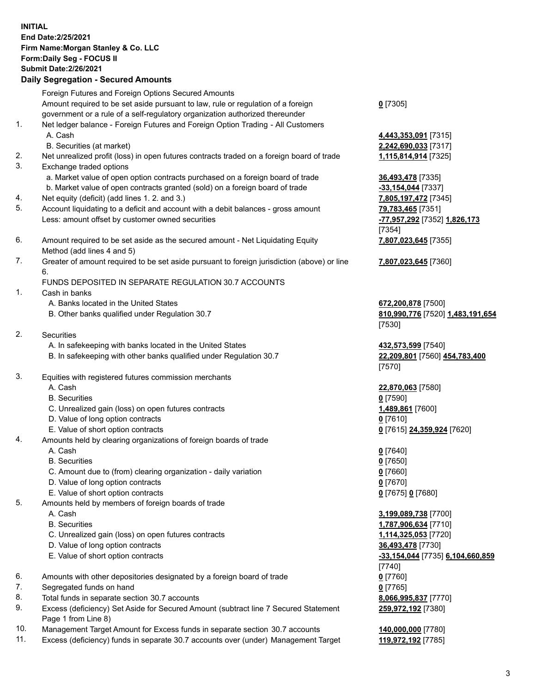## **INITIAL End Date:2/25/2021 Firm Name:Morgan Stanley & Co. LLC Form:Daily Seg - FOCUS II Submit Date:2/26/2021**

**Daily Segregation - Secured Amounts** Foreign Futures and Foreign Options Secured Amounts Amount required to be set aside pursuant to law, rule or regulation of a foreign government or a rule of a self-regulatory organization authorized thereunder 1. Net ledger balance - Foreign Futures and Foreign Option Trading - All Customers A. Cash **4,443,353,091** [7315] B. Securities (at market) **2,242,690,033** [7317] 2. Net unrealized profit (loss) in open futures contracts traded on a foreign board of trade **1,115,814,914** [7325] 3. Exchange traded options a. Market value of open option contracts purchased on a foreign board of trade **36,493,478** [7335] b. Market value of open contracts granted (sold) on a foreign board of trade **-33,154,044** [7337] 4. Net equity (deficit) (add lines 1. 2. and 3.) **7,805,197,472** [7345] 5. Account liquidating to a deficit and account with a debit balances - gross amount **79,783,465** [7351] Less: amount offset by customer owned securities **-77,957,292** [7352] **1,826,173** 6. Amount required to be set aside as the secured amount - Net Liquidating Equity Method (add lines 4 and 5) 7. Greater of amount required to be set aside pursuant to foreign jurisdiction (above) or line 6. FUNDS DEPOSITED IN SEPARATE REGULATION 30.7 ACCOUNTS 1. Cash in banks A. Banks located in the United States **672,200,878** [7500] B. Other banks qualified under Regulation 30.7 **810,990,776** [7520] **1,483,191,654** 2. Securities A. In safekeeping with banks located in the United States **432,573,599** [7540] B. In safekeeping with other banks qualified under Regulation 30.7 **22,209,801** [7560] **454,783,400** 3. Equities with registered futures commission merchants A. Cash **22,870,063** [7580] B. Securities **0** [7590] C. Unrealized gain (loss) on open futures contracts **1,489,861** [7600] D. Value of long option contracts **0** [7610] E. Value of short option contracts **0** [7615] **24,359,924** [7620] 4. Amounts held by clearing organizations of foreign boards of trade A. Cash **0** [7640] B. Securities **0** [7650] C. Amount due to (from) clearing organization - daily variation **0** [7660] D. Value of long option contracts **0** [7670] E. Value of short option contracts **0** [7675] **0** [7680] 5. Amounts held by members of foreign boards of trade

- 
- C. Unrealized gain (loss) on open futures contracts **1,114,325,053** [7720]
- D. Value of long option contracts **36,493,478** [7730]
- E. Value of short option contracts **-33,154,044** [7735] **6,104,660,859**
- 6. Amounts with other depositories designated by a foreign board of trade **0** [7760]
- 7. Segregated funds on hand **0** [7765]
- 8. Total funds in separate section 30.7 accounts **8,066,995,837** [7770]
- 9. Excess (deficiency) Set Aside for Secured Amount (subtract line 7 Secured Statement Page 1 from Line 8)
- 10. Management Target Amount for Excess funds in separate section 30.7 accounts **140,000,000** [7780]
- 11. Excess (deficiency) funds in separate 30.7 accounts over (under) Management Target **119,972,192** [7785]

**0** [7305]

[7354] **7,807,023,645** [7355]

**7,807,023,645** [7360]

[7530]

[7570]

 A. Cash **3,199,089,738** [7700] B. Securities **1,787,906,634** [7710] [7740] **259,972,192** [7380]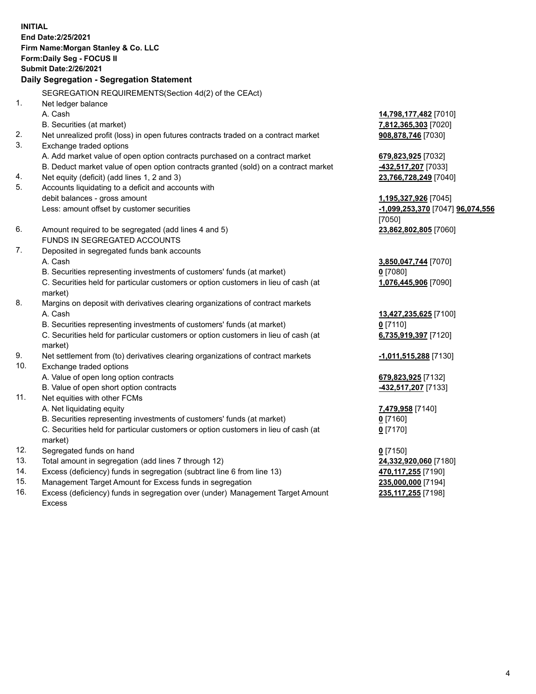**INITIAL End Date:2/25/2021 Firm Name:Morgan Stanley & Co. LLC Form:Daily Seg - FOCUS II Submit Date:2/26/2021 Daily Segregation - Segregation Statement** SEGREGATION REQUIREMENTS(Section 4d(2) of the CEAct) 1. Net ledger balance A. Cash **14,798,177,482** [7010] B. Securities (at market) **7,812,365,303** [7020] 2. Net unrealized profit (loss) in open futures contracts traded on a contract market **908,878,746** [7030] 3. Exchange traded options A. Add market value of open option contracts purchased on a contract market **679,823,925** [7032] B. Deduct market value of open option contracts granted (sold) on a contract market **-432,517,207** [7033] 4. Net equity (deficit) (add lines 1, 2 and 3) **23,766,728,249** [7040] 5. Accounts liquidating to a deficit and accounts with debit balances - gross amount **1,195,327,926** [7045] Less: amount offset by customer securities **-1,099,253,370** [7047] **96,074,556** [7050] 6. Amount required to be segregated (add lines 4 and 5) **23,862,802,805** [7060] FUNDS IN SEGREGATED ACCOUNTS 7. Deposited in segregated funds bank accounts A. Cash **3,850,047,744** [7070] B. Securities representing investments of customers' funds (at market) **0** [7080] C. Securities held for particular customers or option customers in lieu of cash (at market) **1,076,445,906** [7090] 8. Margins on deposit with derivatives clearing organizations of contract markets A. Cash **13,427,235,625** [7100] B. Securities representing investments of customers' funds (at market) **0** [7110] C. Securities held for particular customers or option customers in lieu of cash (at market) **6,735,919,397** [7120] 9. Net settlement from (to) derivatives clearing organizations of contract markets **-1,011,515,288** [7130] 10. Exchange traded options A. Value of open long option contracts **679,823,925** [7132] B. Value of open short option contracts **-432,517,207** [7133] 11. Net equities with other FCMs A. Net liquidating equity **7,479,958** [7140] B. Securities representing investments of customers' funds (at market) **0** [7160] C. Securities held for particular customers or option customers in lieu of cash (at market) **0** [7170] 12. Segregated funds on hand **0** [7150] 13. Total amount in segregation (add lines 7 through 12) **24,332,920,060** [7180] 14. Excess (deficiency) funds in segregation (subtract line 6 from line 13) **470,117,255** [7190] 15. Management Target Amount for Excess funds in segregation **235,000,000** [7194]

16. Excess (deficiency) funds in segregation over (under) Management Target Amount Excess

**235,117,255** [7198]